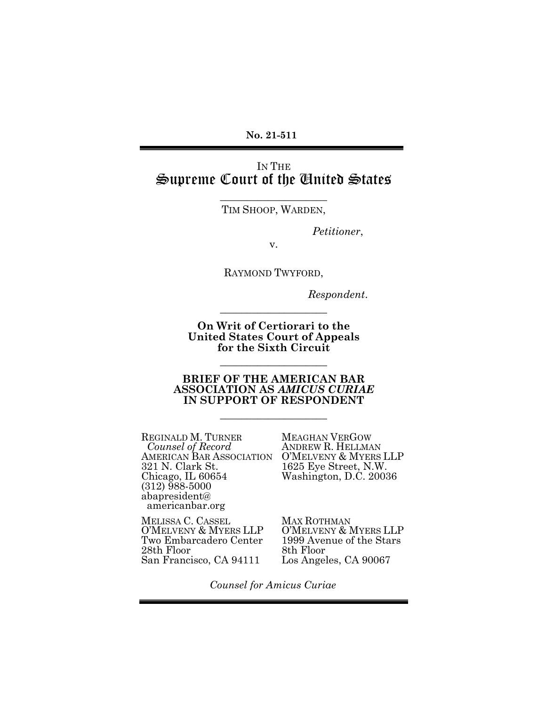**No. 21-511** 

# IN THE Supreme Court of the United States

\_\_\_\_\_\_\_\_\_\_\_\_\_\_\_\_\_\_\_\_ TIM SHOOP, WARDEN,

*Petitioner*,

v.

RAYMOND TWYFORD,

 *Respondent*.

**On Writ of Certiorari to the United States Court of Appeals for the Sixth Circuit**

\_\_\_\_\_\_\_\_\_\_\_\_\_\_\_\_\_\_\_\_

\_\_\_\_\_\_\_\_\_\_\_\_\_\_\_\_\_\_\_\_

#### **BRIEF OF THE AMERICAN BAR ASSOCIATION AS** *AMICUS CURIAE* **IN SUPPORT OF RESPONDENT**

\_\_\_\_\_\_\_\_\_\_\_\_\_\_\_\_\_\_\_\_

REGINALD M. TURNER Counsel of Record ANDREW R. HELLMAN<br>AMERICAN BAR ASSOCIATION O'MELVENY & MYERS 321 N. Clark St. Chicago, IL 60654 (312) 988-5000 abapresident@ americanbar.org

MEAGHAN VERGOW O'MELVENY & MYERS LLP 1625 Eye Street, N.W. Washington, D.C. 20036

MELISSA C. CASSEL O'MELVENY & MYERS LLP Two Embarcadero Center 28th Floor San Francisco, CA 94111

MAX ROTHMAN O'MELVENY & MYERS LLP 1999 Avenue of the Stars 8th Floor Los Angeles, CA 90067

*Counsel for Amicus Curiae*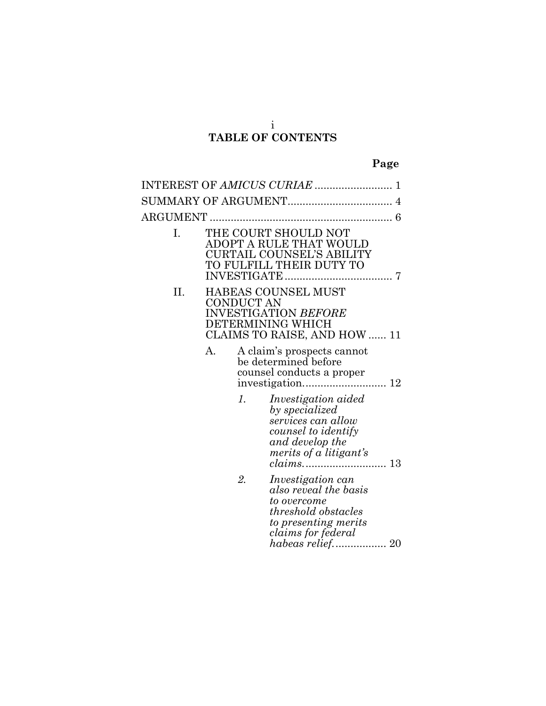# **TABLE OF CONTENTS**

| ARGUMENT |            |                                                                                                                                              |
|----------|------------|----------------------------------------------------------------------------------------------------------------------------------------------|
| Ι.       |            | THE COURT SHOULD NOT<br>ADOPT A RULE THAT WOULD<br><b>CURTAIL COUNSEL'S ABILITY</b><br>TO FULFILL THEIR DUTY TO<br>INVESTIGATE<br>. 7        |
| П.       | CONDUCT AN | HABEAS COUNSEL MUST<br>INVESTIGATION <i>BEFORE</i><br>DETERMINING WHICH<br>CLAIMS TO RAISE, AND HOW  11                                      |
|          | А.         | A claim's prospects cannot<br>be determined before<br>counsel conducts a proper                                                              |
|          | 1.         | <i>Investigation aided</i><br>by specialized<br>services can allow<br>counsel to identify<br>and develop the<br>merits of a litigant's       |
|          | 2.         | <i>Investigation can</i><br>also reveal the basis<br>to overcome<br>threshold obstacles<br>to presenting merits<br><i>claims for federal</i> |

*[habeas relief.](#page-26-0)*................. 20

i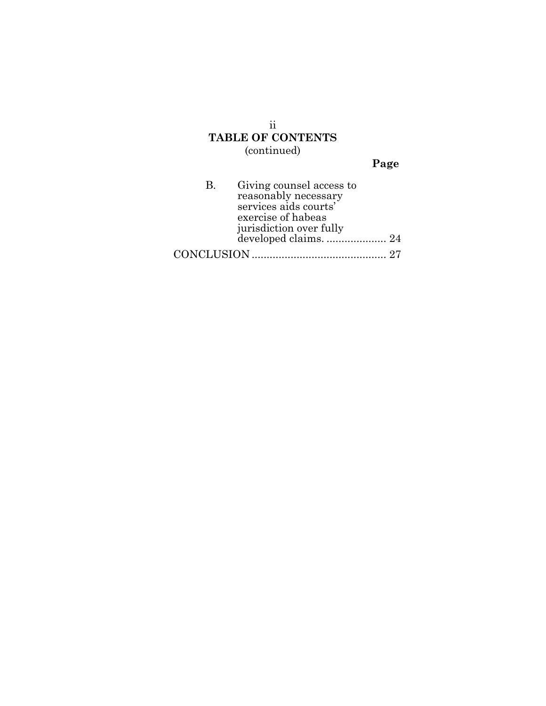### ii **TABLE OF CONTENTS** (continued)

|--|

| B. | Giving counsel access to |  |
|----|--------------------------|--|
|    | reasonably necessary     |  |
|    | services aids courts'    |  |
|    | exercise of habeas       |  |
|    | jurisdiction over fully  |  |
|    | developed claims.  24    |  |
|    |                          |  |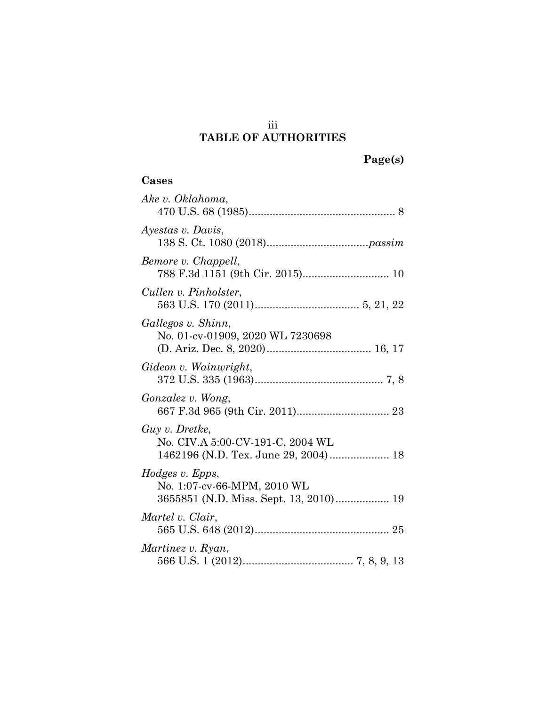# iii **TABLE OF AUTHORITIES**

|  |  | age(s) |  |
|--|--|--------|--|
|  |  |        |  |

### **Cases**

| Ake v. Oklahoma,                                                                           |
|--------------------------------------------------------------------------------------------|
| Ayestas v. Davis,                                                                          |
| Bemore v. Chappell,                                                                        |
| Cullen v. Pinholster,                                                                      |
| Gallegos v. Shinn,<br>No. 01-cv-01909, 2020 WL 7230698                                     |
| Gideon v. Wainwright,                                                                      |
| <i>Gonzalez v. Wong,</i>                                                                   |
| Guy v. Dretke,<br>No. CIV.A 5:00-CV-191-C, 2004 WL<br>1462196 (N.D. Tex. June 29, 2004) 18 |
| Hodges v. Epps,<br>No. 1:07-cv-66-MPM, 2010 WL                                             |
| Martel v. Clair,                                                                           |
| Martinez v. Ryan,                                                                          |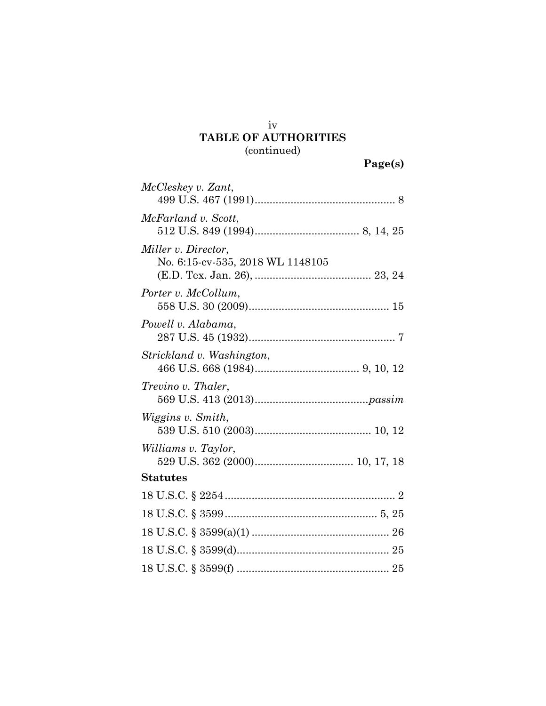## **TABLE OF AUTHORITIES** (continued)

| McCleskey v. Zant,                                      |
|---------------------------------------------------------|
| McFarland v. Scott,                                     |
| Miller v. Director.<br>No. 6:15-cv-535, 2018 WL 1148105 |
| Porter v. McCollum,                                     |
| Powell v. Alabama,                                      |
| Strickland v. Washington,                               |
| <i>Trevino v. Thaler,</i>                               |
| Wiggins v. Smith,                                       |
| Williams v. Taylor,                                     |
| <b>Statutes</b>                                         |
|                                                         |
|                                                         |
|                                                         |
|                                                         |
|                                                         |

iv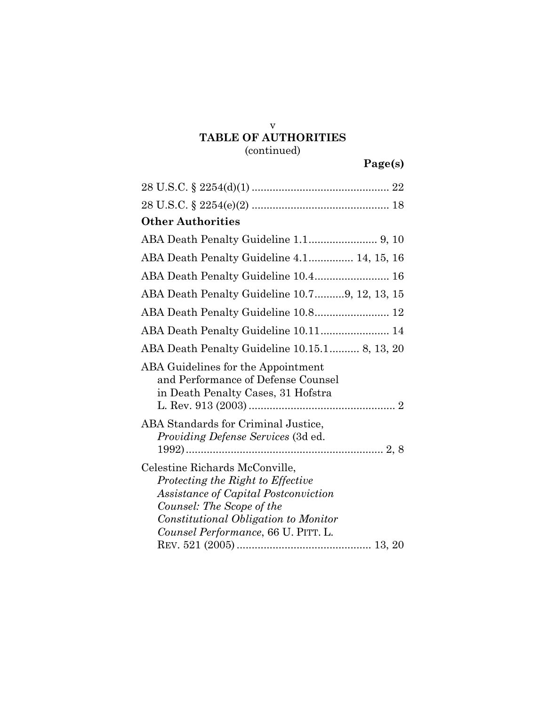# **TABLE OF AUTHORITIES** (continued)

| $28 \text{ U.S.C.} \S 2254(d)(1) \dots$                                                                                                                                                                                 |
|-------------------------------------------------------------------------------------------------------------------------------------------------------------------------------------------------------------------------|
|                                                                                                                                                                                                                         |
| <b>Other Authorities</b>                                                                                                                                                                                                |
|                                                                                                                                                                                                                         |
| ABA Death Penalty Guideline 4.1 14, 15, 16                                                                                                                                                                              |
| ABA Death Penalty Guideline 10.4 16                                                                                                                                                                                     |
| ABA Death Penalty Guideline 10.79, 12, 13, 15                                                                                                                                                                           |
| ABA Death Penalty Guideline 10.8 12                                                                                                                                                                                     |
| ABA Death Penalty Guideline 10.11 14                                                                                                                                                                                    |
| ABA Death Penalty Guideline 10.15.1 8, 13, 20                                                                                                                                                                           |
| ABA Guidelines for the Appointment<br>and Performance of Defense Counsel<br>in Death Penalty Cases, 31 Hofstra                                                                                                          |
| ABA Standards for Criminal Justice,<br><i>Providing Defense Services</i> (3d ed.                                                                                                                                        |
| Celestine Richards McConville,<br>Protecting the Right to Effective<br>Assistance of Capital Postconviction<br>Counsel: The Scope of the<br>Constitutional Obligation to Monitor<br>Counsel Performance, 66 U. PITT. L. |

v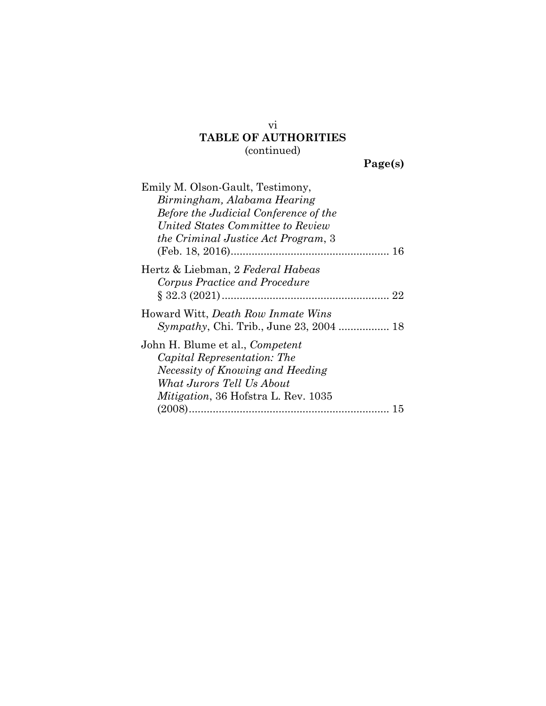# **TABLE OF AUTHORITIES** (continued)

|  | 'age(s) |  |
|--|---------|--|
|  |         |  |

| Emily M. Olson-Gault, Testimony,                |
|-------------------------------------------------|
| Birmingham, Alabama Hearing                     |
| Before the Judicial Conference of the           |
| United States Committee to Review               |
| the Criminal Justice Act Program, 3             |
|                                                 |
| Hertz & Liebman, 2 Federal Habeas               |
| Corpus Practice and Procedure                   |
| Howard Witt, <i>Death Row Inmate Wins</i>       |
| <i>Sympathy</i> , Chi. Trib., June 23, 2004  18 |
| John H. Blume et al., <i>Competent</i>          |
| Capital Representation: The                     |
| Necessity of Knowing and Heeding                |
| What Jurors Tell Us About                       |
| <i>Mitigation</i> , 36 Hofstra L. Rev. 1035     |
| 15                                              |

vi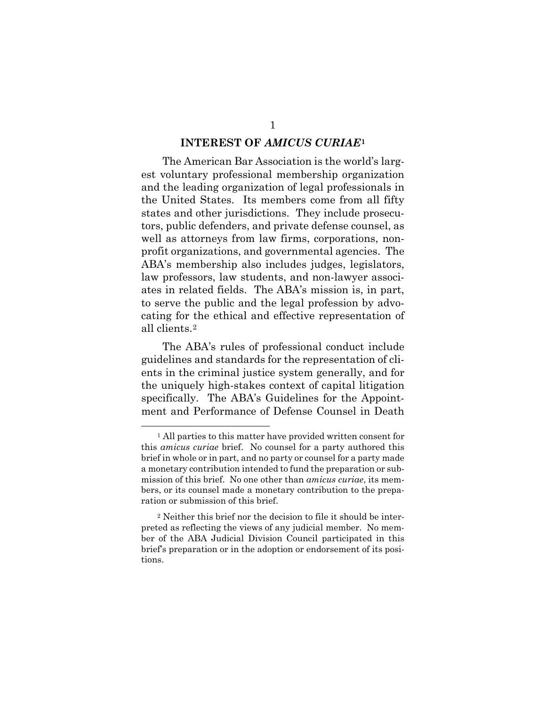#### **INTEREST OF** *AMICUS CURIAE***[1](#page-7-1)**

<span id="page-7-0"></span>The American Bar Association is the world's largest voluntary professional membership organization and the leading organization of legal professionals in the United States. Its members come from all fifty states and other jurisdictions. They include prosecutors, public defenders, and private defense counsel, as well as attorneys from law firms, corporations, nonprofit organizations, and governmental agencies. The ABA's membership also includes judges, legislators, law professors, law students, and non-lawyer associates in related fields. The ABA's mission is, in part, to serve the public and the legal profession by advocating for the ethical and effective representation of all clients.[2](#page-7-2)

The ABA's rules of professional conduct include guidelines and standards for the representation of clients in the criminal justice system generally, and for the uniquely high-stakes context of capital litigation specifically. The ABA's Guidelines for the Appointment and Performance of Defense Counsel in Death

<span id="page-7-1"></span><sup>&</sup>lt;sup>1</sup> All parties to this matter have provided written consent for this *amicus curiae* brief. No counsel for a party authored this brief in whole or in part, and no party or counsel for a party made a monetary contribution intended to fund the preparation or submission of this brief. No one other than *amicus curiae*, its members, or its counsel made a monetary contribution to the preparation or submission of this brief.

<span id="page-7-2"></span><sup>2</sup> Neither this brief nor the decision to file it should be interpreted as reflecting the views of any judicial member. No member of the ABA Judicial Division Council participated in this brief's preparation or in the adoption or endorsement of its positions.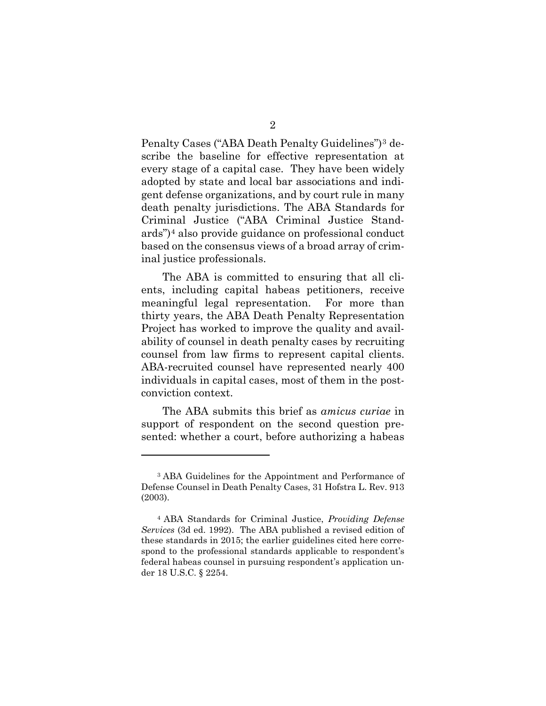Penalty Cases ("ABA Death Penalty Guidelines")[3](#page-8-0) describe the baseline for effective representation at every stage of a capital case. They have been widely adopted by state and local bar associations and indigent defense organizations, and by court rule in many death penalty jurisdictions. The ABA Standards for Criminal Justice ("ABA Criminal Justice Standards")[4](#page-8-1) also provide guidance on professional conduct based on the consensus views of a broad array of criminal justice professionals.

The ABA is committed to ensuring that all clients, including capital habeas petitioners, receive meaningful legal representation. For more than thirty years, the ABA Death Penalty Representation Project has worked to improve the quality and availability of counsel in death penalty cases by recruiting counsel from law firms to represent capital clients. ABA-recruited counsel have represented nearly 400 individuals in capital cases, most of them in the postconviction context.

The ABA submits this brief as *amicus curiae* in support of respondent on the second question presented: whether a court, before authorizing a habeas

l

<span id="page-8-0"></span><sup>3</sup> ABA Guidelines for the Appointment and Performance of Defense Counsel in Death Penalty Cases, 31 Hofstra L. Rev. 913 (2003).

<span id="page-8-1"></span><sup>4</sup> ABA Standards for Criminal Justice, *Providing Defense Services* (3d ed. 1992). The ABA published a revised edition of these standards in 2015; the earlier guidelines cited here correspond to the professional standards applicable to respondent's federal habeas counsel in pursuing respondent's application under 18 U.S.C. § 2254.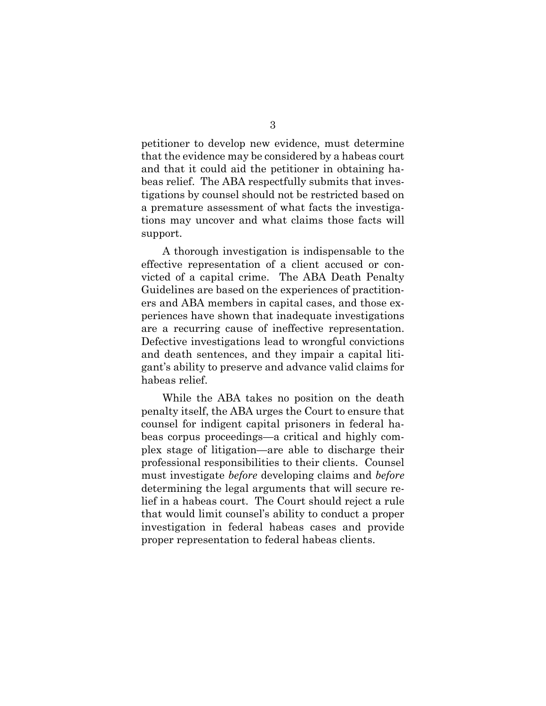petitioner to develop new evidence, must determine that the evidence may be considered by a habeas court and that it could aid the petitioner in obtaining habeas relief. The ABA respectfully submits that investigations by counsel should not be restricted based on a premature assessment of what facts the investigations may uncover and what claims those facts will support.

A thorough investigation is indispensable to the effective representation of a client accused or convicted of a capital crime. The ABA Death Penalty Guidelines are based on the experiences of practitioners and ABA members in capital cases, and those experiences have shown that inadequate investigations are a recurring cause of ineffective representation. Defective investigations lead to wrongful convictions and death sentences, and they impair a capital litigant's ability to preserve and advance valid claims for habeas relief.

While the ABA takes no position on the death penalty itself, the ABA urges the Court to ensure that counsel for indigent capital prisoners in federal habeas corpus proceedings—a critical and highly complex stage of litigation—are able to discharge their professional responsibilities to their clients. Counsel must investigate *before* developing claims and *before*  determining the legal arguments that will secure relief in a habeas court. The Court should reject a rule that would limit counsel's ability to conduct a proper investigation in federal habeas cases and provide proper representation to federal habeas clients.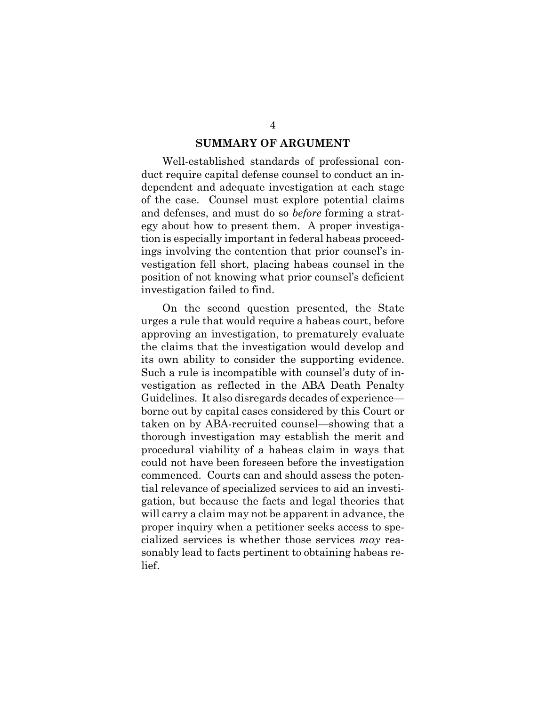#### **SUMMARY OF ARGUMENT**

<span id="page-10-0"></span>Well-established standards of professional conduct require capital defense counsel to conduct an independent and adequate investigation at each stage of the case. Counsel must explore potential claims and defenses, and must do so *before* forming a strategy about how to present them. A proper investigation is especially important in federal habeas proceedings involving the contention that prior counsel's investigation fell short, placing habeas counsel in the position of not knowing what prior counsel's deficient investigation failed to find.

On the second question presented, the State urges a rule that would require a habeas court, before approving an investigation, to prematurely evaluate the claims that the investigation would develop and its own ability to consider the supporting evidence. Such a rule is incompatible with counsel's duty of investigation as reflected in the ABA Death Penalty Guidelines. It also disregards decades of experience borne out by capital cases considered by this Court or taken on by ABA-recruited counsel—showing that a thorough investigation may establish the merit and procedural viability of a habeas claim in ways that could not have been foreseen before the investigation commenced. Courts can and should assess the potential relevance of specialized services to aid an investigation, but because the facts and legal theories that will carry a claim may not be apparent in advance, the proper inquiry when a petitioner seeks access to specialized services is whether those services *may* reasonably lead to facts pertinent to obtaining habeas relief.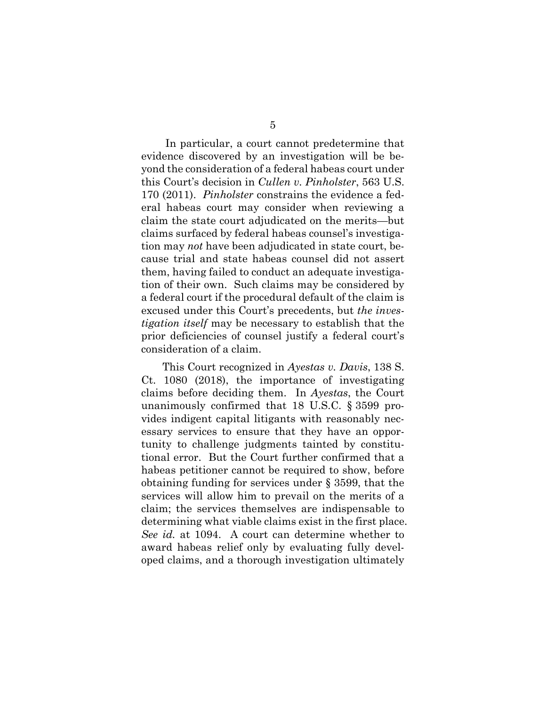In particular, a court cannot predetermine that evidence discovered by an investigation will be beyond the consideration of a federal habeas court under this Court's decision in *Cullen v. Pinholster*, 563 U.S. 170 (2011). *Pinholster* constrains the evidence a federal habeas court may consider when reviewing a claim the state court adjudicated on the merits—but claims surfaced by federal habeas counsel's investigation may *not* have been adjudicated in state court, because trial and state habeas counsel did not assert them, having failed to conduct an adequate investigation of their own. Such claims may be considered by a federal court if the procedural default of the claim is excused under this Court's precedents, but *the investigation itself* may be necessary to establish that the prior deficiencies of counsel justify a federal court's consideration of a claim.

This Court recognized in *Ayestas v. Davis*, 138 S. Ct. 1080 (2018), the importance of investigating claims before deciding them. In *Ayestas*, the Court unanimously confirmed that 18 U.S.C. § 3599 provides indigent capital litigants with reasonably necessary services to ensure that they have an opportunity to challenge judgments tainted by constitutional error. But the Court further confirmed that a habeas petitioner cannot be required to show, before obtaining funding for services under § 3599, that the services will allow him to prevail on the merits of a claim; the services themselves are indispensable to determining what viable claims exist in the first place. *See id.* at 1094. A court can determine whether to award habeas relief only by evaluating fully developed claims, and a thorough investigation ultimately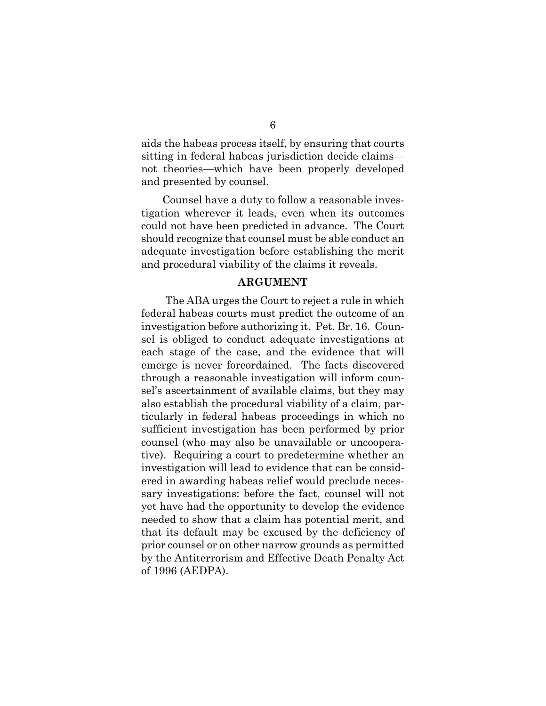aids the habeas process itself, by ensuring that courts sitting in federal habeas jurisdiction decide claims not theories—which have been properly developed and presented by counsel.

Counsel have a duty to follow a reasonable investigation wherever it leads, even when its outcomes could not have been predicted in advance. The Court should recognize that counsel must be able conduct an adequate investigation before establishing the merit and procedural viability of the claims it reveals.

#### **ARGUMENT**

<span id="page-12-0"></span>The ABA urges the Court to reject a rule in which federal habeas courts must predict the outcome of an investigation before authorizing it. Pet. Br. 16. Counsel is obliged to conduct adequate investigations at each stage of the case, and the evidence that will emerge is never foreordained. The facts discovered through a reasonable investigation will inform counsel's ascertainment of available claims, but they may also establish the procedural viability of a claim, particularly in federal habeas proceedings in which no sufficient investigation has been performed by prior counsel (who may also be unavailable or uncooperative). Requiring a court to predetermine whether an investigation will lead to evidence that can be considered in awarding habeas relief would preclude necessary investigations: before the fact, counsel will not yet have had the opportunity to develop the evidence needed to show that a claim has potential merit, and that its default may be excused by the deficiency of prior counsel or on other narrow grounds as permitted by the Antiterrorism and Effective Death Penalty Act of 1996 (AEDPA).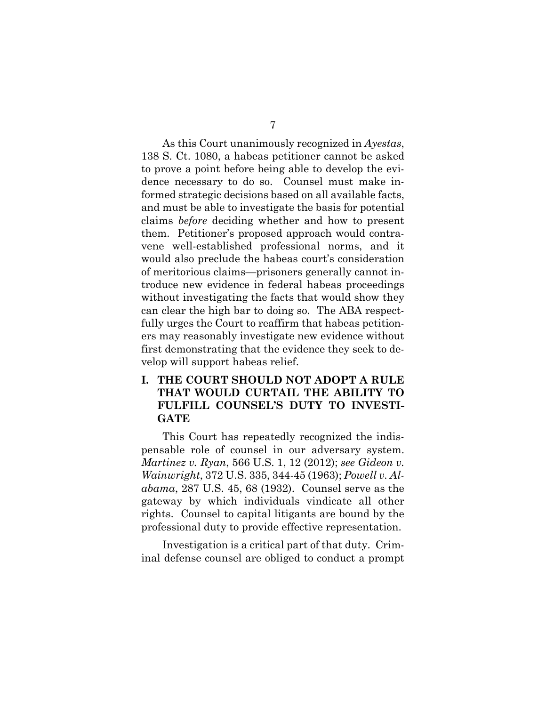As this Court unanimously recognized in *Ayestas*, 138 S. Ct. 1080, a habeas petitioner cannot be asked to prove a point before being able to develop the evidence necessary to do so. Counsel must make informed strategic decisions based on all available facts, and must be able to investigate the basis for potential claims *before* deciding whether and how to present them. Petitioner's proposed approach would contravene well-established professional norms, and it would also preclude the habeas court's consideration of meritorious claims—prisoners generally cannot introduce new evidence in federal habeas proceedings without investigating the facts that would show they

can clear the high bar to doing so. The ABA respectfully urges the Court to reaffirm that habeas petitioners may reasonably investigate new evidence without first demonstrating that the evidence they seek to develop will support habeas relief.

### <span id="page-13-0"></span>**I. THE COURT SHOULD NOT ADOPT A RULE THAT WOULD CURTAIL THE ABILITY TO FULFILL COUNSEL'S DUTY TO INVESTI-GATE**

This Court has repeatedly recognized the indispensable role of counsel in our adversary system. *Martinez v. Ryan*, 566 U.S. 1, 12 (2012); *see Gideon v. Wainwright*, 372 U.S. 335, 344-45 (1963); *Powell v. Alabama*, 287 U.S. 45, 68 (1932). Counsel serve as the gateway by which individuals vindicate all other rights. Counsel to capital litigants are bound by the professional duty to provide effective representation.

Investigation is a critical part of that duty. Criminal defense counsel are obliged to conduct a prompt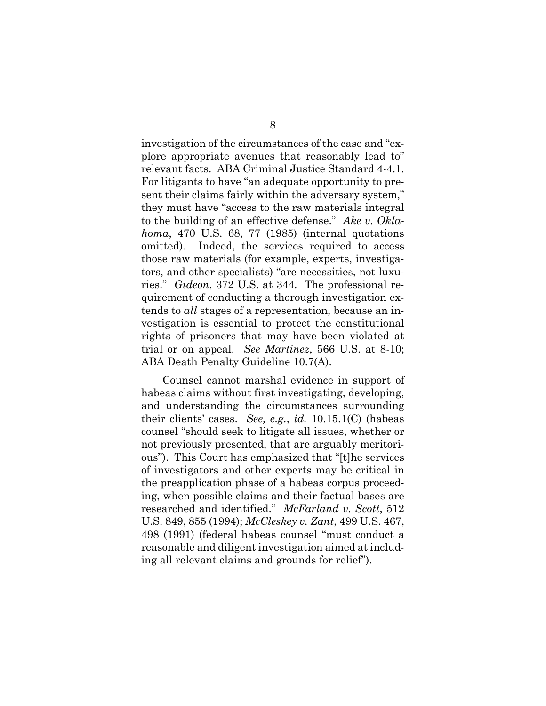investigation of the circumstances of the case and "explore appropriate avenues that reasonably lead to" relevant facts. ABA Criminal Justice Standard 4-4.1. For litigants to have "an adequate opportunity to present their claims fairly within the adversary system," they must have "access to the raw materials integral to the building of an effective defense." *Ake v. Oklahoma*, 470 U.S. 68, 77 (1985) (internal quotations omitted)*.* Indeed, the services required to access those raw materials (for example, experts, investigators, and other specialists) "are necessities, not luxuries." *Gideon*, 372 U.S. at 344. The professional requirement of conducting a thorough investigation extends to *all* stages of a representation, because an investigation is essential to protect the constitutional rights of prisoners that may have been violated at trial or on appeal. *See Martinez*, 566 U.S. at 8-10; ABA Death Penalty Guideline 10.7(A).

Counsel cannot marshal evidence in support of habeas claims without first investigating, developing, and understanding the circumstances surrounding their clients' cases. *See, e.g.*, *id.* 10.15.1(C) (habeas counsel "should seek to litigate all issues, whether or not previously presented, that are arguably meritorious"). This Court has emphasized that "[t]he services of investigators and other experts may be critical in the preapplication phase of a habeas corpus proceeding, when possible claims and their factual bases are researched and identified." *McFarland v. Scott*, 512 U.S. 849, 855 (1994); *McCleskey v. Zant*, 499 U.S. 467, 498 (1991) (federal habeas counsel "must conduct a reasonable and diligent investigation aimed at including all relevant claims and grounds for relief").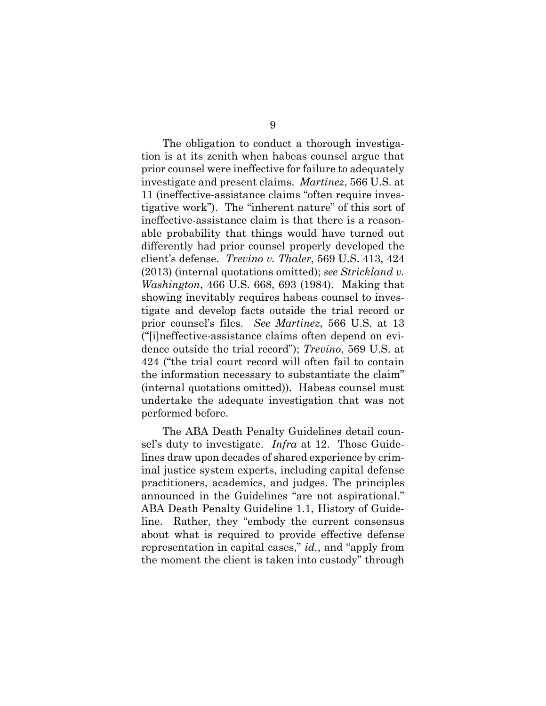The obligation to conduct a thorough investigation is at its zenith when habeas counsel argue that prior counsel were ineffective for failure to adequately investigate and present claims. *Martinez*, 566 U.S. at 11 (ineffective-assistance claims "often require investigative work"). The "inherent nature" of this sort of ineffective-assistance claim is that there is a reasonable probability that things would have turned out differently had prior counsel properly developed the client's defense. *Trevino v. Thaler*, 569 U.S. 413, 424 (2013) (internal quotations omitted); *see Strickland v. Washington*, 466 U.S. 668, 693 (1984). Making that showing inevitably requires habeas counsel to investigate and develop facts outside the trial record or prior counsel's files. *See Martinez*, 566 U.S. at 13 ("[i]neffective-assistance claims often depend on evidence outside the trial record"); *Trevino*, 569 U.S. at 424 ("the trial court record will often fail to contain the information necessary to substantiate the claim" (internal quotations omitted)).Habeas counsel must undertake the adequate investigation that was not performed before.

The ABA Death Penalty Guidelines detail counsel's duty to investigate. *Infra* at 12. Those Guidelines draw upon decades of shared experience by criminal justice system experts, including capital defense practitioners, academics, and judges. The principles announced in the Guidelines "are not aspirational." ABA Death Penalty Guideline 1.1, History of Guideline. Rather, they "embody the current consensus about what is required to provide effective defense representation in capital cases," *id.*, and "apply from the moment the client is taken into custody" through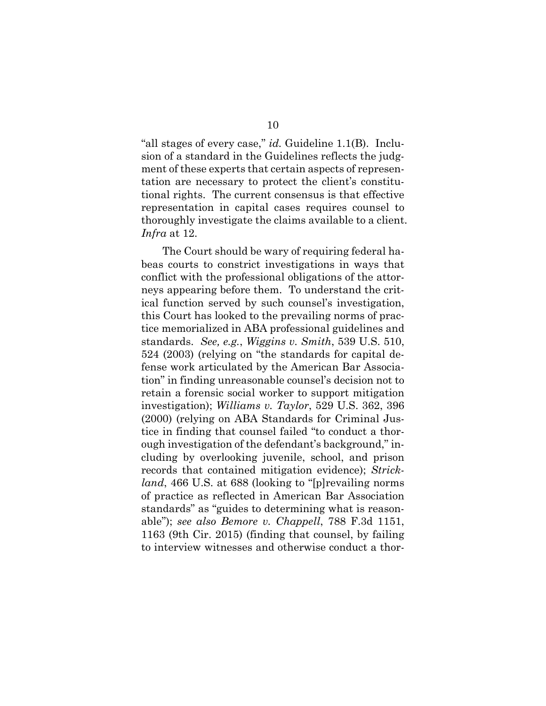"all stages of every case," *id.* Guideline 1.1(B). Inclusion of a standard in the Guidelines reflects the judgment of these experts that certain aspects of representation are necessary to protect the client's constitutional rights. The current consensus is that effective representation in capital cases requires counsel to thoroughly investigate the claims available to a client. *Infra* at 12.

The Court should be wary of requiring federal habeas courts to constrict investigations in ways that conflict with the professional obligations of the attorneys appearing before them. To understand the critical function served by such counsel's investigation, this Court has looked to the prevailing norms of practice memorialized in ABA professional guidelines and standards. *See, e.g.*, *Wiggins v. Smith*, 539 U.S. 510, 524 (2003) (relying on "the standards for capital defense work articulated by the American Bar Association" in finding unreasonable counsel's decision not to retain a forensic social worker to support mitigation investigation); *Williams v. Taylor*, 529 U.S. 362, 396 (2000) (relying on ABA Standards for Criminal Justice in finding that counsel failed "to conduct a thorough investigation of the defendant's background," including by overlooking juvenile, school, and prison records that contained mitigation evidence); *Strickland*, 466 U.S. at 688 (looking to "[p]revailing norms of practice as reflected in American Bar Association standards" as "guides to determining what is reasonable"); *see also Bemore v. Chappell*, 788 F.3d 1151, 1163 (9th Cir. 2015) (finding that counsel, by failing to interview witnesses and otherwise conduct a thor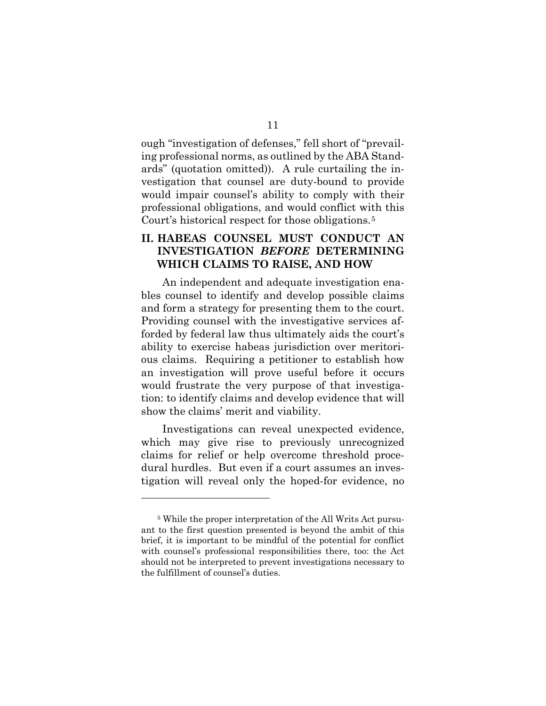ough "investigation of defenses," fell short of "prevailing professional norms, as outlined by the ABA Standards" (quotation omitted)). A rule curtailing the investigation that counsel are duty-bound to provide would impair counsel's ability to comply with their professional obligations, and would conflict with this Court's historical respect for those obligations.<sup>[5](#page-17-1)</sup>

### <span id="page-17-0"></span>**II. HABEAS COUNSEL MUST CONDUCT AN INVESTIGATION** *BEFORE* **DETERMINING WHICH CLAIMS TO RAISE, AND HOW**

An independent and adequate investigation enables counsel to identify and develop possible claims and form a strategy for presenting them to the court. Providing counsel with the investigative services afforded by federal law thus ultimately aids the court's ability to exercise habeas jurisdiction over meritorious claims. Requiring a petitioner to establish how an investigation will prove useful before it occurs would frustrate the very purpose of that investigation: to identify claims and develop evidence that will show the claims' merit and viability.

Investigations can reveal unexpected evidence, which may give rise to previously unrecognized claims for relief or help overcome threshold procedural hurdles. But even if a court assumes an investigation will reveal only the hoped-for evidence, no

l

<span id="page-17-1"></span><sup>5</sup> While the proper interpretation of the All Writs Act pursuant to the first question presented is beyond the ambit of this brief, it is important to be mindful of the potential for conflict with counsel's professional responsibilities there, too: the Act should not be interpreted to prevent investigations necessary to the fulfillment of counsel's duties.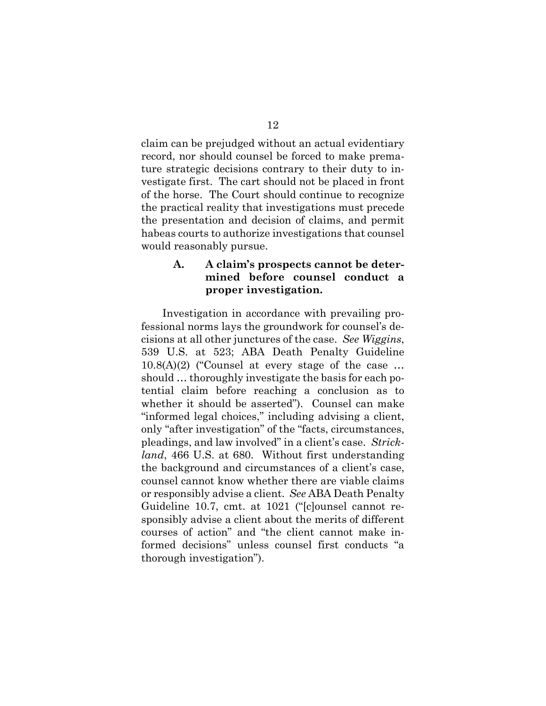claim can be prejudged without an actual evidentiary record, nor should counsel be forced to make premature strategic decisions contrary to their duty to investigate first. The cart should not be placed in front of the horse. The Court should continue to recognize the practical reality that investigations must precede the presentation and decision of claims, and permit habeas courts to authorize investigations that counsel would reasonably pursue.

### <span id="page-18-0"></span>**A. A claim's prospects cannot be determined before counsel conduct a proper investigation.**

Investigation in accordance with prevailing professional norms lays the groundwork for counsel's decisions at all other junctures of the case. *See Wiggins*, 539 U.S. at 523; ABA Death Penalty Guideline 10.8(A)(2) ("Counsel at every stage of the case … should … thoroughly investigate the basis for each potential claim before reaching a conclusion as to whether it should be asserted"). Counsel can make "informed legal choices," including advising a client, only "after investigation" of the "facts, circumstances, pleadings, and law involved" in a client's case. *Strickland*, 466 U.S. at 680. Without first understanding the background and circumstances of a client's case, counsel cannot know whether there are viable claims or responsibly advise a client. *See* ABA Death Penalty Guideline 10.7, cmt. at 1021 ("[c]ounsel cannot responsibly advise a client about the merits of different courses of action" and "the client cannot make informed decisions" unless counsel first conducts "a thorough investigation").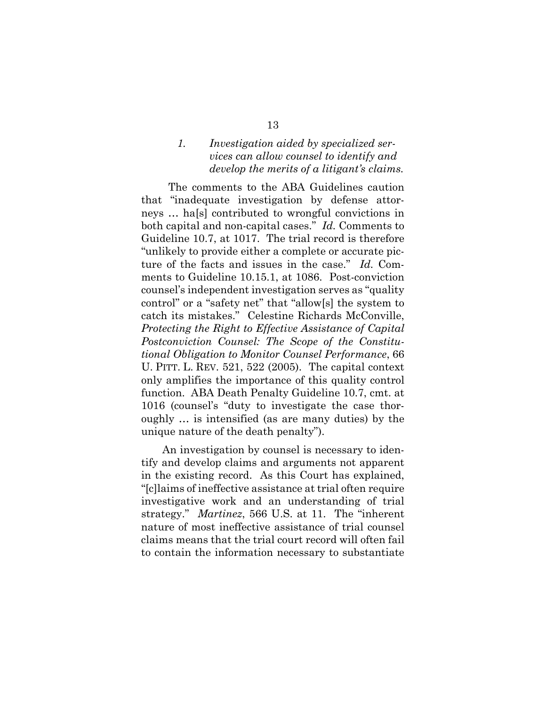### <span id="page-19-0"></span>*1. Investigation aided by specialized services can allow counsel to identify and develop the merits of a litigant's claims.*

 The comments to the ABA Guidelines caution that "inadequate investigation by defense attorneys … ha[s] contributed to wrongful convictions in both capital and non-capital cases." *Id.* Comments to Guideline 10.7, at 1017. The trial record is therefore "unlikely to provide either a complete or accurate picture of the facts and issues in the case." *Id.* Comments to Guideline 10.15.1, at 1086. Post-conviction counsel's independent investigation serves as "quality control" or a "safety net" that "allow[s] the system to catch its mistakes." Celestine Richards McConville, *Protecting the Right to Effective Assistance of Capital Postconviction Counsel: The Scope of the Constitutional Obligation to Monitor Counsel Performance*, 66 U. PITT. L. REV. 521, 522 (2005).The capital context only amplifies the importance of this quality control function. ABA Death Penalty Guideline 10.7, cmt. at 1016 (counsel's "duty to investigate the case thoroughly … is intensified (as are many duties) by the unique nature of the death penalty").

An investigation by counsel is necessary to identify and develop claims and arguments not apparent in the existing record. As this Court has explained, "[c]laims of ineffective assistance at trial often require investigative work and an understanding of trial strategy." *Martinez*, 566 U.S. at 11. The "inherent nature of most ineffective assistance of trial counsel claims means that the trial court record will often fail to contain the information necessary to substantiate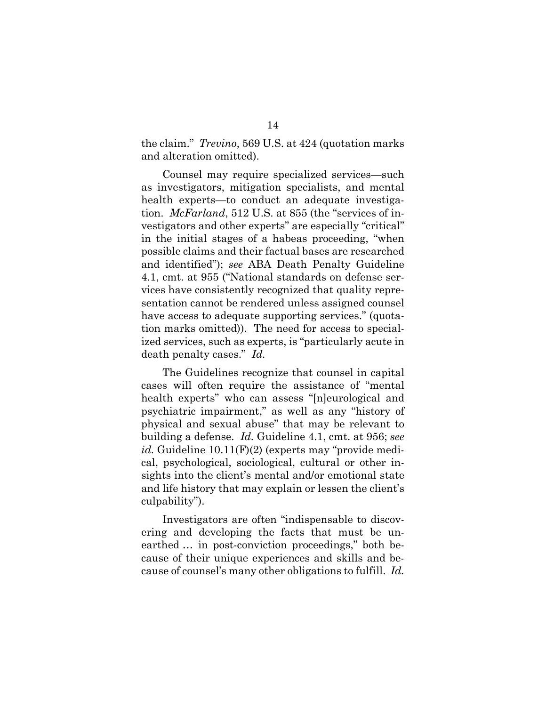the claim." *Trevino*, 569 U.S. at 424 (quotation marks and alteration omitted).

Counsel may require specialized services—such as investigators, mitigation specialists, and mental health experts—to conduct an adequate investigation. *McFarland*, 512 U.S. at 855 (the "services of investigators and other experts" are especially "critical" in the initial stages of a habeas proceeding, "when possible claims and their factual bases are researched and identified"); *see* ABA Death Penalty Guideline 4.1, cmt. at 955 ("National standards on defense services have consistently recognized that quality representation cannot be rendered unless assigned counsel have access to adequate supporting services." (quotation marks omitted)). The need for access to specialized services, such as experts, is "particularly acute in death penalty cases." *Id.*

The Guidelines recognize that counsel in capital cases will often require the assistance of "mental health experts" who can assess "[n]eurological and psychiatric impairment," as well as any "history of physical and sexual abuse" that may be relevant to building a defense. *Id.* Guideline 4.1, cmt. at 956; *see id.* Guideline 10.11(F)(2) (experts may "provide medical, psychological, sociological, cultural or other insights into the client's mental and/or emotional state and life history that may explain or lessen the client's culpability").

Investigators are often "indispensable to discovering and developing the facts that must be unearthed … in post-conviction proceedings," both because of their unique experiences and skills and because of counsel's many other obligations to fulfill. *Id.*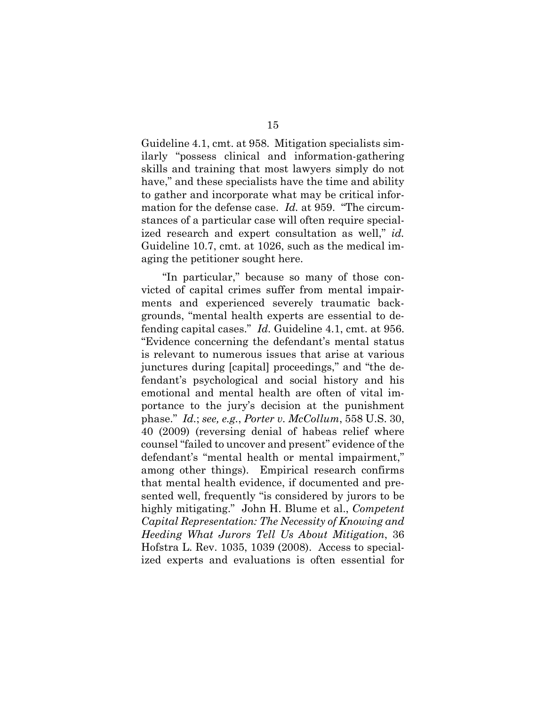Guideline 4.1, cmt. at 958. Mitigation specialists similarly "possess clinical and information-gathering skills and training that most lawyers simply do not have," and these specialists have the time and ability to gather and incorporate what may be critical information for the defense case. *Id.* at 959. "The circumstances of a particular case will often require specialized research and expert consultation as well," *id.* Guideline 10.7, cmt. at 1026, such as the medical imaging the petitioner sought here.

"In particular," because so many of those convicted of capital crimes suffer from mental impairments and experienced severely traumatic backgrounds, "mental health experts are essential to defending capital cases." *Id.* Guideline 4.1, cmt. at 956. "Evidence concerning the defendant's mental status is relevant to numerous issues that arise at various junctures during [capital] proceedings," and "the defendant's psychological and social history and his emotional and mental health are often of vital importance to the jury's decision at the punishment phase." *Id.*; *see, e.g.*, *Porter v. McCollum*, 558 U.S. 30, 40 (2009) (reversing denial of habeas relief where counsel "failed to uncover and present" evidence of the defendant's "mental health or mental impairment," among other things). Empirical research confirms that mental health evidence, if documented and presented well, frequently "is considered by jurors to be highly mitigating." John H. Blume et al., *Competent Capital Representation: The Necessity of Knowing and Heeding What Jurors Tell Us About Mitigation*, 36 Hofstra L. Rev. 1035, 1039 (2008). Access to specialized experts and evaluations is often essential for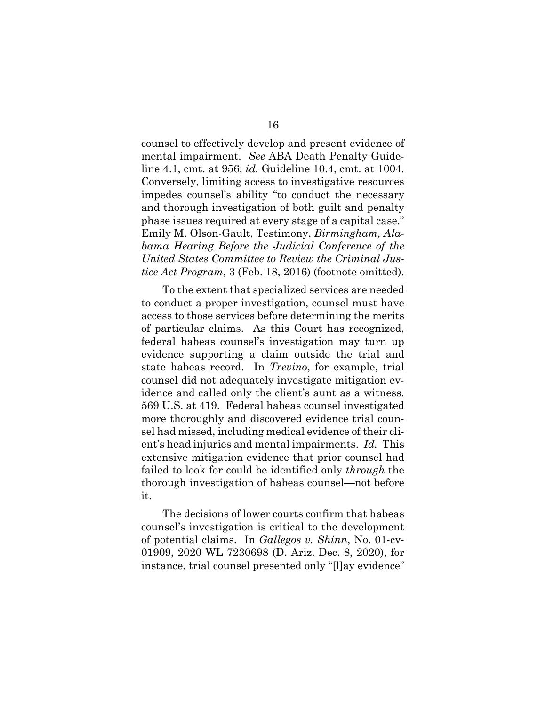counsel to effectively develop and present evidence of mental impairment. *See* ABA Death Penalty Guideline 4.1, cmt. at 956; *id.* Guideline 10.4, cmt. at 1004. Conversely, limiting access to investigative resources impedes counsel's ability "to conduct the necessary and thorough investigation of both guilt and penalty phase issues required at every stage of a capital case." Emily M. Olson-Gault, Testimony, *Birmingham, Alabama Hearing Before the Judicial Conference of the United States Committee to Review the Criminal Justice Act Program*, 3 (Feb. 18, 2016) (footnote omitted).

To the extent that specialized services are needed to conduct a proper investigation, counsel must have access to those services before determining the merits of particular claims. As this Court has recognized, federal habeas counsel's investigation may turn up evidence supporting a claim outside the trial and state habeas record. In *Trevino*, for example, trial counsel did not adequately investigate mitigation evidence and called only the client's aunt as a witness. 569 U.S. at 419. Federal habeas counsel investigated more thoroughly and discovered evidence trial counsel had missed, including medical evidence of their client's head injuries and mental impairments. *Id.* This extensive mitigation evidence that prior counsel had failed to look for could be identified only *through* the thorough investigation of habeas counsel—not before it.

The decisions of lower courts confirm that habeas counsel's investigation is critical to the development of potential claims. In *Gallegos v. Shinn*, No. 01-cv-01909, 2020 WL 7230698 (D. Ariz. Dec. 8, 2020), for instance, trial counsel presented only "[l]ay evidence"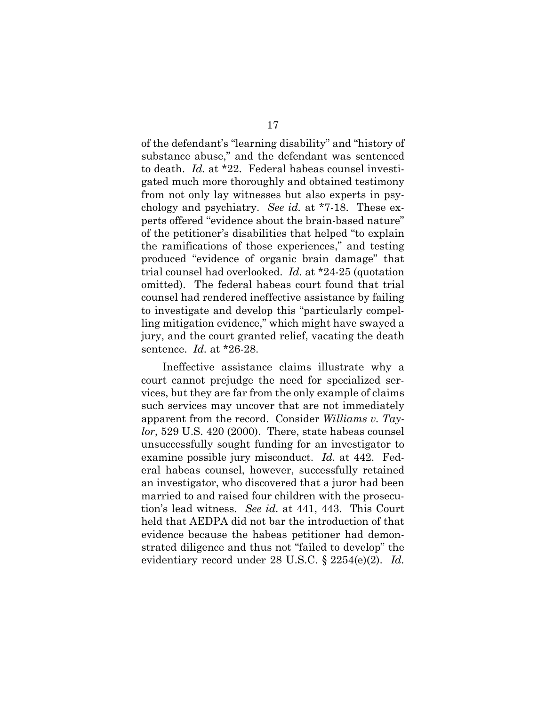of the defendant's "learning disability" and "history of substance abuse," and the defendant was sentenced to death. *Id.* at \*22. Federal habeas counsel investigated much more thoroughly and obtained testimony from not only lay witnesses but also experts in psychology and psychiatry. *See id.* at \*7-18. These experts offered "evidence about the brain-based nature" of the petitioner's disabilities that helped "to explain the ramifications of those experiences," and testing produced "evidence of organic brain damage" that trial counsel had overlooked. *Id.* at \*24-25 (quotation omitted). The federal habeas court found that trial counsel had rendered ineffective assistance by failing to investigate and develop this "particularly compelling mitigation evidence," which might have swayed a jury, and the court granted relief, vacating the death sentence. *Id.* at \*26-28.

Ineffective assistance claims illustrate why a court cannot prejudge the need for specialized services, but they are far from the only example of claims such services may uncover that are not immediately apparent from the record. Consider *Williams v. Taylor*, 529 U.S. 420 (2000). There, state habeas counsel unsuccessfully sought funding for an investigator to examine possible jury misconduct. *Id.* at 442. Federal habeas counsel, however, successfully retained an investigator, who discovered that a juror had been married to and raised four children with the prosecution's lead witness. *See id.* at 441, 443. This Court held that AEDPA did not bar the introduction of that evidence because the habeas petitioner had demonstrated diligence and thus not "failed to develop" the evidentiary record under 28 U.S.C. § 2254(e)(2). *Id.*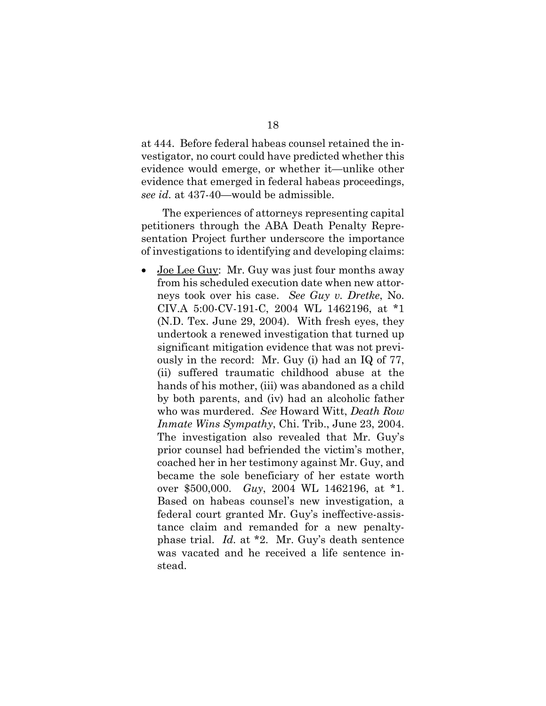at 444. Before federal habeas counsel retained the investigator, no court could have predicted whether this evidence would emerge, or whether it—unlike other evidence that emerged in federal habeas proceedings, *see id.* at 437-40—would be admissible.

The experiences of attorneys representing capital petitioners through the ABA Death Penalty Representation Project further underscore the importance of investigations to identifying and developing claims:

Joe Lee Guy: Mr. Guy was just four months away from his scheduled execution date when new attorneys took over his case. *See Guy v. Dretke*, No. CIV.A 5:00-CV-191-C, 2004 WL 1462196, at \*1 (N.D. Tex. June 29, 2004). With fresh eyes, they undertook a renewed investigation that turned up significant mitigation evidence that was not previously in the record: Mr. Guy (i) had an IQ of 77, (ii) suffered traumatic childhood abuse at the hands of his mother, (iii) was abandoned as a child by both parents, and (iv) had an alcoholic father who was murdered. *See* Howard Witt, *Death Row Inmate Wins Sympathy*, Chi. Trib., June 23, 2004. The investigation also revealed that Mr. Guy's prior counsel had befriended the victim's mother, coached her in her testimony against Mr. Guy, and became the sole beneficiary of her estate worth over \$500,000. *Guy*, 2004 WL 1462196, at \*1. Based on habeas counsel's new investigation, a federal court granted Mr. Guy's ineffective-assistance claim and remanded for a new penaltyphase trial. *Id.* at \*2. Mr. Guy's death sentence was vacated and he received a life sentence instead.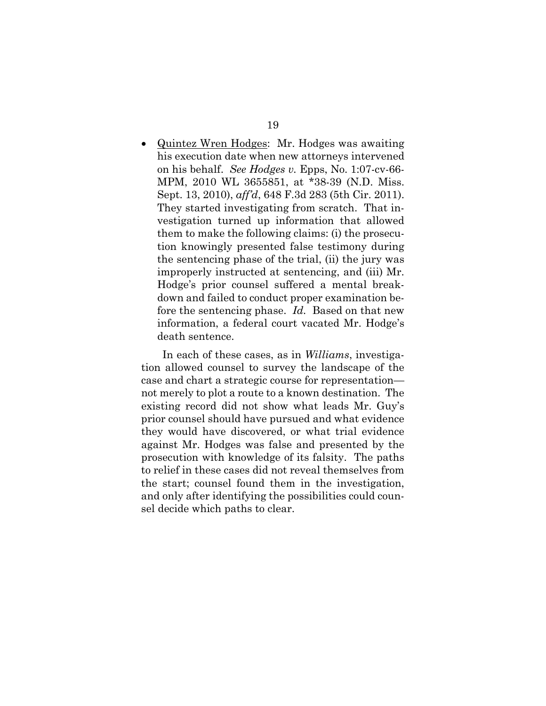• Quintez Wren Hodges: Mr. Hodges was awaiting his execution date when new attorneys intervened on his behalf. *See Hodges v.* Epps, No. 1:07-cv-66- MPM, 2010 WL 3655851, at \*38-39 (N.D. Miss. Sept. 13, 2010), *aff'd*, 648 F.3d 283 (5th Cir. 2011). They started investigating from scratch. That investigation turned up information that allowed them to make the following claims: (i) the prosecution knowingly presented false testimony during the sentencing phase of the trial, (ii) the jury was improperly instructed at sentencing, and (iii) Mr. Hodge's prior counsel suffered a mental breakdown and failed to conduct proper examination before the sentencing phase. *Id.* Based on that new information, a federal court vacated Mr. Hodge's death sentence.

In each of these cases, as in *Williams*, investigation allowed counsel to survey the landscape of the case and chart a strategic course for representation not merely to plot a route to a known destination. The existing record did not show what leads Mr. Guy's prior counsel should have pursued and what evidence they would have discovered, or what trial evidence against Mr. Hodges was false and presented by the prosecution with knowledge of its falsity. The paths to relief in these cases did not reveal themselves from the start; counsel found them in the investigation, and only after identifying the possibilities could counsel decide which paths to clear.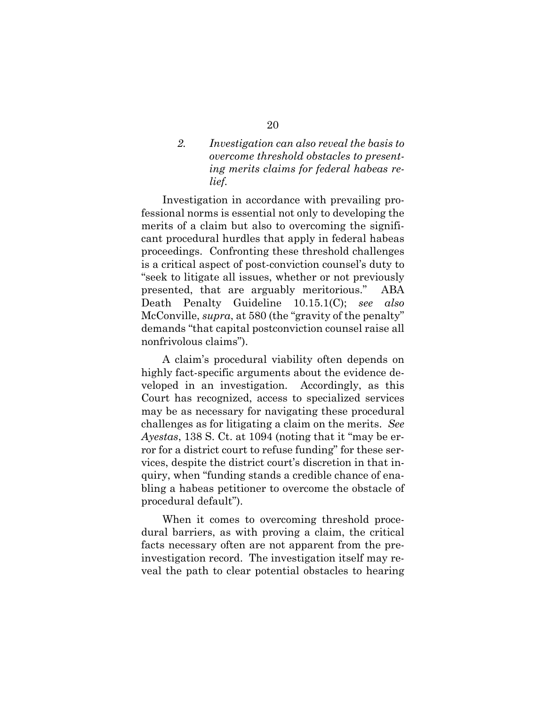### <span id="page-26-0"></span>*2. Investigation can also reveal the basis to overcome threshold obstacles to presenting merits claims for federal habeas relief.*

Investigation in accordance with prevailing professional norms is essential not only to developing the merits of a claim but also to overcoming the significant procedural hurdles that apply in federal habeas proceedings. Confronting these threshold challenges is a critical aspect of post-conviction counsel's duty to "seek to litigate all issues, whether or not previously presented, that are arguably meritorious." ABA Death Penalty Guideline 10.15.1(C); *see also* McConville, *supra*, at 580 (the "gravity of the penalty" demands "that capital postconviction counsel raise all nonfrivolous claims").

A claim's procedural viability often depends on highly fact-specific arguments about the evidence developed in an investigation. Accordingly, as this Court has recognized, access to specialized services may be as necessary for navigating these procedural challenges as for litigating a claim on the merits. *See Ayestas*, 138 S. Ct. at 1094 (noting that it "may be error for a district court to refuse funding" for these services, despite the district court's discretion in that inquiry, when "funding stands a credible chance of enabling a habeas petitioner to overcome the obstacle of procedural default").

When it comes to overcoming threshold procedural barriers, as with proving a claim, the critical facts necessary often are not apparent from the preinvestigation record. The investigation itself may reveal the path to clear potential obstacles to hearing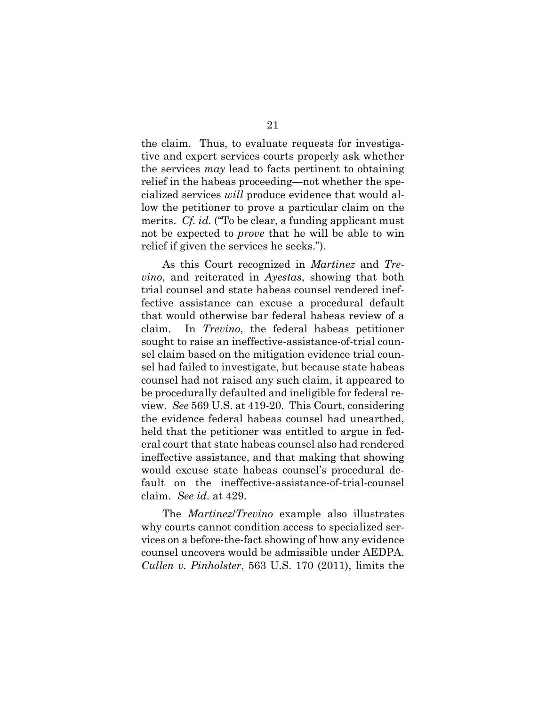the claim. Thus, to evaluate requests for investigative and expert services courts properly ask whether the services *may* lead to facts pertinent to obtaining relief in the habeas proceeding—not whether the specialized services *will* produce evidence that would allow the petitioner to prove a particular claim on the merits. *Cf. id.* ("To be clear, a funding applicant must not be expected to *prove* that he will be able to win relief if given the services he seeks.").

As this Court recognized in *Martinez* and *Trevino*, and reiterated in *Ayestas*, showing that both trial counsel and state habeas counsel rendered ineffective assistance can excuse a procedural default that would otherwise bar federal habeas review of a claim. In *Trevino*, the federal habeas petitioner sought to raise an ineffective-assistance-of-trial counsel claim based on the mitigation evidence trial counsel had failed to investigate, but because state habeas counsel had not raised any such claim, it appeared to be procedurally defaulted and ineligible for federal review. *See* 569 U.S. at 419-20. This Court, considering the evidence federal habeas counsel had unearthed, held that the petitioner was entitled to argue in federal court that state habeas counsel also had rendered ineffective assistance, and that making that showing would excuse state habeas counsel's procedural default on the ineffective-assistance-of-trial-counsel claim. *See id.* at 429.

The *Martinez*/*Trevino* example also illustrates why courts cannot condition access to specialized services on a before-the-fact showing of how any evidence counsel uncovers would be admissible under AEDPA. *Cullen v. Pinholster*, 563 U.S. 170 (2011), limits the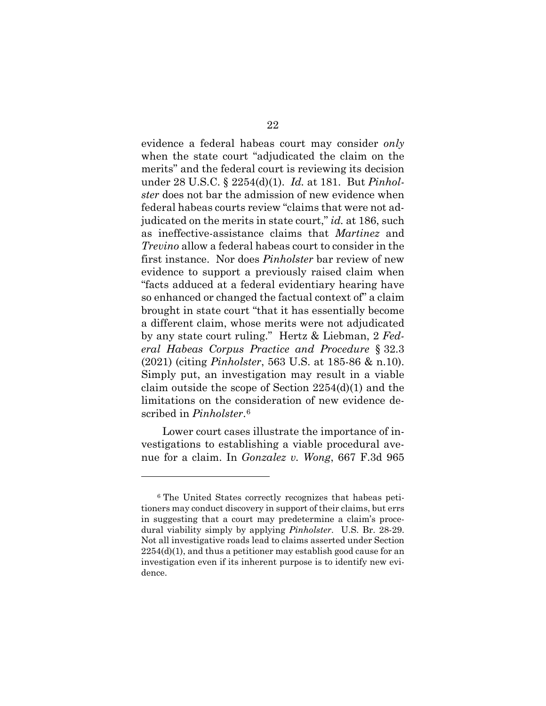evidence a federal habeas court may consider *only* when the state court "adjudicated the claim on the merits" and the federal court is reviewing its decision under 28 U.S.C. § 2254(d)(1). *Id.* at 181. But *Pinholster* does not bar the admission of new evidence when federal habeas courts review "claims that were not adjudicated on the merits in state court," *id.* at 186, such as ineffective-assistance claims that *Martinez* and *Trevino* allow a federal habeas court to consider in the first instance. Nor does *Pinholster* bar review of new evidence to support a previously raised claim when "facts adduced at a federal evidentiary hearing have so enhanced or changed the factual context of" a claim brought in state court "that it has essentially become a different claim, whose merits were not adjudicated by any state court ruling." Hertz & Liebman, 2 *Federal Habeas Corpus Practice and Procedure* § 32.3 (2021) (citing *Pinholster*, 563 U.S. at 185-86 & n.10). Simply put, an investigation may result in a viable claim outside the scope of Section 2254(d)(1) and the limitations on the consideration of new evidence described in *Pinholster*.[6](#page-28-0)

Lower court cases illustrate the importance of investigations to establishing a viable procedural avenue for a claim. In *Gonzalez v. Wong*, 667 F.3d 965

l

<span id="page-28-0"></span><sup>6</sup> The United States correctly recognizes that habeas petitioners may conduct discovery in support of their claims, but errs in suggesting that a court may predetermine a claim's procedural viability simply by applying *Pinholster*. U.S. Br. 28-29. Not all investigative roads lead to claims asserted under Section  $2254(d)(1)$ , and thus a petitioner may establish good cause for an investigation even if its inherent purpose is to identify new evidence.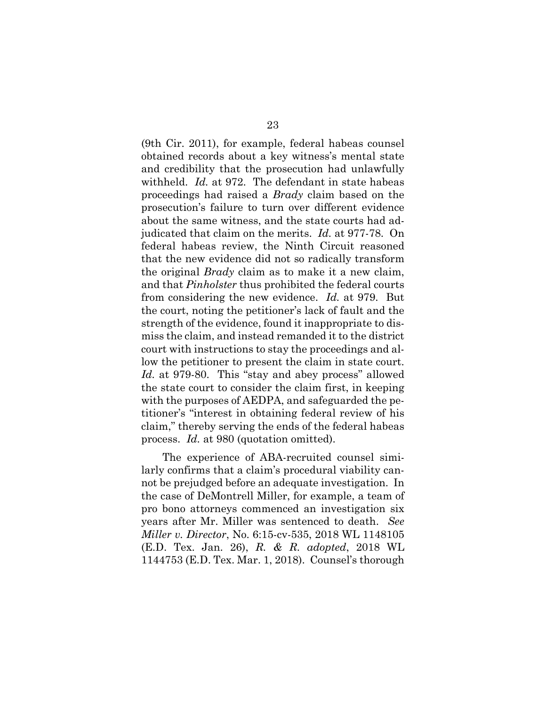(9th Cir. 2011), for example, federal habeas counsel obtained records about a key witness's mental state and credibility that the prosecution had unlawfully withheld. *Id.* at 972. The defendant in state habeas proceedings had raised a *Brady* claim based on the prosecution's failure to turn over different evidence about the same witness, and the state courts had adjudicated that claim on the merits. *Id.* at 977-78. On federal habeas review, the Ninth Circuit reasoned that the new evidence did not so radically transform the original *Brady* claim as to make it a new claim, and that *Pinholster* thus prohibited the federal courts from considering the new evidence. *Id.* at 979. But the court, noting the petitioner's lack of fault and the strength of the evidence, found it inappropriate to dismiss the claim, and instead remanded it to the district court with instructions to stay the proceedings and allow the petitioner to present the claim in state court. *Id.* at 979-80. This "stay and abey process" allowed the state court to consider the claim first, in keeping with the purposes of AEDPA, and safeguarded the petitioner's "interest in obtaining federal review of his claim," thereby serving the ends of the federal habeas process. *Id.* at 980 (quotation omitted).

The experience of ABA-recruited counsel similarly confirms that a claim's procedural viability cannot be prejudged before an adequate investigation. In the case of DeMontrell Miller, for example, a team of pro bono attorneys commenced an investigation six years after Mr. Miller was sentenced to death. *See Miller v. Director*, No. 6:15-cv-535, 2018 WL 1148105 (E.D. Tex. Jan. 26), *R. & R. adopted*, 2018 WL 1144753 (E.D. Tex. Mar. 1, 2018). Counsel's thorough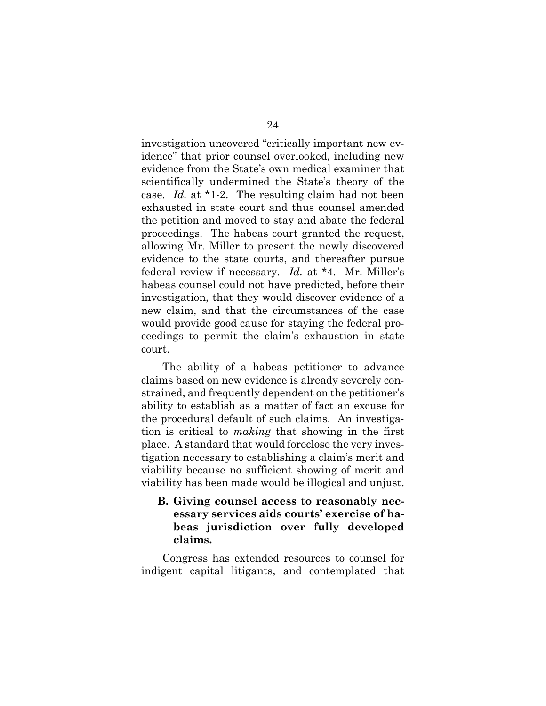investigation uncovered "critically important new evidence" that prior counsel overlooked, including new evidence from the State's own medical examiner that scientifically undermined the State's theory of the case. *Id.* at \*1-2. The resulting claim had not been exhausted in state court and thus counsel amended the petition and moved to stay and abate the federal proceedings. The habeas court granted the request, allowing Mr. Miller to present the newly discovered evidence to the state courts, and thereafter pursue federal review if necessary. *Id.* at \*4. Mr. Miller's habeas counsel could not have predicted, before their investigation, that they would discover evidence of a new claim, and that the circumstances of the case would provide good cause for staying the federal proceedings to permit the claim's exhaustion in state court.

The ability of a habeas petitioner to advance claims based on new evidence is already severely constrained, and frequently dependent on the petitioner's ability to establish as a matter of fact an excuse for the procedural default of such claims. An investigation is critical to *making* that showing in the first place. A standard that would foreclose the very investigation necessary to establishing a claim's merit and viability because no sufficient showing of merit and viability has been made would be illogical and unjust.

<span id="page-30-0"></span>**B. Giving counsel access to reasonably necessary services aids courts' exercise of habeas jurisdiction over fully developed claims.** 

Congress has extended resources to counsel for indigent capital litigants, and contemplated that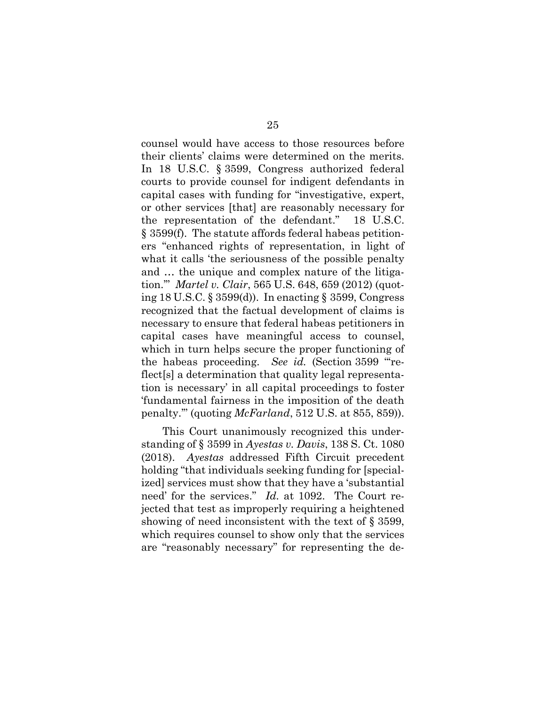counsel would have access to those resources before their clients' claims were determined on the merits. In 18 U.S.C. § 3599, Congress authorized federal courts to provide counsel for indigent defendants in capital cases with funding for "investigative, expert, or other services [that] are reasonably necessary for the representation of the defendant." 18 U.S.C. § 3599(f). The statute affords federal habeas petitioners "enhanced rights of representation, in light of what it calls 'the seriousness of the possible penalty and … the unique and complex nature of the litigation.'" *Martel v. Clair*, 565 U.S. 648, 659 (2012) (quoting 18 U.S.C. § 3599(d)). In enacting § 3599, Congress recognized that the factual development of claims is necessary to ensure that federal habeas petitioners in capital cases have meaningful access to counsel, which in turn helps secure the proper functioning of the habeas proceeding. *See id.* (Section 3599 "'reflect[s] a determination that quality legal representation is necessary' in all capital proceedings to foster 'fundamental fairness in the imposition of the death penalty.'" (quoting *McFarland*, 512 U.S. at 855, 859)).

This Court unanimously recognized this understanding of § 3599 in *Ayestas v. Davis*, 138 S. Ct. 1080 (2018). *Ayestas* addressed Fifth Circuit precedent holding "that individuals seeking funding for [specialized] services must show that they have a 'substantial need' for the services." *Id.* at 1092. The Court rejected that test as improperly requiring a heightened showing of need inconsistent with the text of § 3599, which requires counsel to show only that the services are "reasonably necessary" for representing the de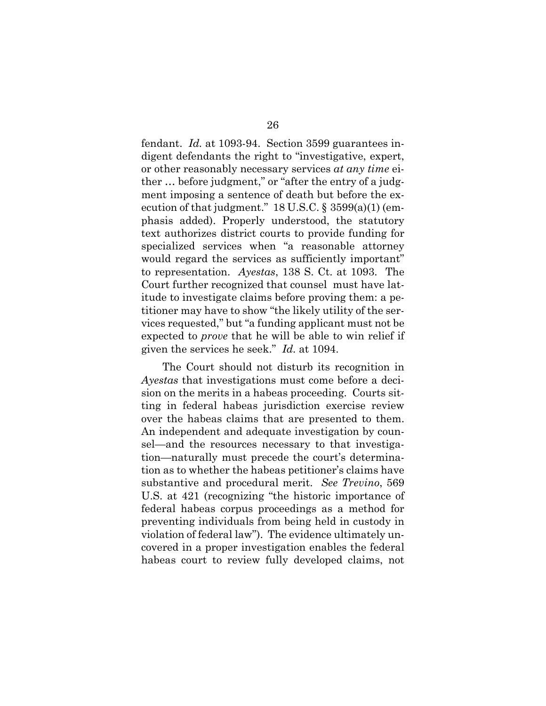fendant. *Id.* at 1093-94. Section 3599 guarantees indigent defendants the right to "investigative, expert, or other reasonably necessary services *at any time* either … before judgment," or "after the entry of a judgment imposing a sentence of death but before the execution of that judgment."  $18$  U.S.C. §  $3599(a)(1)$  (emphasis added). Properly understood, the statutory text authorizes district courts to provide funding for specialized services when "a reasonable attorney would regard the services as sufficiently important" to representation. *Ayestas*, 138 S. Ct. at 1093. The Court further recognized that counsel must have latitude to investigate claims before proving them: a petitioner may have to show "the likely utility of the services requested," but "a funding applicant must not be expected to *prove* that he will be able to win relief if given the services he seek." *Id.* at 1094.

The Court should not disturb its recognition in *Ayestas* that investigations must come before a decision on the merits in a habeas proceeding. Courts sitting in federal habeas jurisdiction exercise review over the habeas claims that are presented to them. An independent and adequate investigation by counsel—and the resources necessary to that investigation—naturally must precede the court's determination as to whether the habeas petitioner's claims have substantive and procedural merit. *See Trevino*, 569 U.S. at 421 (recognizing "the historic importance of federal habeas corpus proceedings as a method for preventing individuals from being held in custody in violation of federal law"). The evidence ultimately uncovered in a proper investigation enables the federal habeas court to review fully developed claims, not